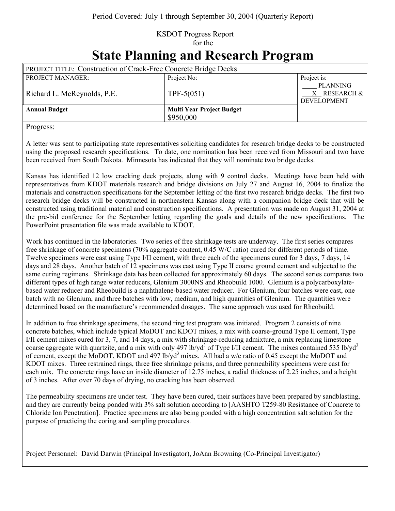## KSDOT Progress Report for the

## **State Planning and Research Program**

| <b>PROJECT TITLE: Construction of Crack-Free Concrete Bridge Decks</b> |                                               |                                                            |
|------------------------------------------------------------------------|-----------------------------------------------|------------------------------------------------------------|
| <b>PROJECT MANAGER:</b>                                                | Project No:                                   | Project is:                                                |
| Richard L. McReynolds, P.E.                                            | TPF-5 $(051)$                                 | <b>PLANNING</b><br>$X$ RESEARCH $\&$<br><b>DEVELOPMENT</b> |
| <b>Annual Budget</b>                                                   | <b>Multi Year Project Budget</b><br>\$950,000 |                                                            |

Progress:

A letter was sent to participating state representatives soliciting candidates for research bridge decks to be constructed using the proposed research specifications. To date, one nomination has been received from Missouri and two have been received from South Dakota. Minnesota has indicated that they will nominate two bridge decks.

Kansas has identified 12 low cracking deck projects, along with 9 control decks. Meetings have been held with representatives from KDOT materials research and bridge divisions on July 27 and August 16, 2004 to finalize the materials and construction specifications for the September letting of the first two research bridge decks. The first two research bridge decks will be constructed in northeastern Kansas along with a companion bridge deck that will be constructed using traditional material and construction specifications. A presentation was made on August 31, 2004 at the pre-bid conference for the September letting regarding the goals and details of the new specifications. The PowerPoint presentation file was made available to KDOT.

Work has continued in the laboratories. Two series of free shrinkage tests are underway. The first series compares free shrinkage of concrete specimens (70% aggregate content, 0.45 W/C ratio) cured for different periods of time. Twelve specimens were cast using Type I/II cement, with three each of the specimens cured for 3 days, 7 days, 14 days and 28 days. Another batch of 12 specimens was cast using Type II coarse ground cement and subjected to the same curing regimens. Shrinkage data has been collected for approximately 60 days. The second series compares two different types of high range water reducers, Glenium 3000NS and Rheobuild 1000. Glenium is a polycarboxylatebased water reducer and Rheobuild is a naphthalene-based water reducer. For Glenium, four batches were cast, one batch with no Glenium, and three batches with low, medium, and high quantities of Glenium. The quantities were determined based on the manufacture's recommended dosages. The same approach was used for Rheobuild.

In addition to free shrinkage specimens, the second ring test program was initiated. Program 2 consists of nine concrete batches, which include typical MoDOT and KDOT mixes, a mix with coarse-ground Type II cement, Type I/II cement mixes cured for 3, 7, and 14 days, a mix with shrinkage-reducing admixture, a mix replacing limestone coarse aggregate with quartzite, and a mix with only 497 lb/yd<sup>3</sup> of Type I/II cement. The mixes contained 535 lb/yd<sup>3</sup> of cement, except the MoDOT, KDOT and 497 lb/yd<sup>3</sup> mixes. All had a w/c ratio of 0.45 except the MoDOT and KDOT mixes. Three restrained rings, three free shrinkage prisms, and three permeability specimens were cast for each mix. The concrete rings have an inside diameter of 12.75 inches, a radial thickness of 2.25 inches, and a height of 3 inches. After over 70 days of drying, no cracking has been observed.

The permeability specimens are under test. They have been cured, their surfaces have been prepared by sandblasting, and they are currently being ponded with 3% salt solution according to [AASHTO T259-80 Resistance of Concrete to Chloride Ion Penetration]. Practice specimens are also being ponded with a high concentration salt solution for the purpose of practicing the coring and sampling procedures.

Project Personnel: David Darwin (Principal Investigator), JoAnn Browning (Co-Principal Investigator)